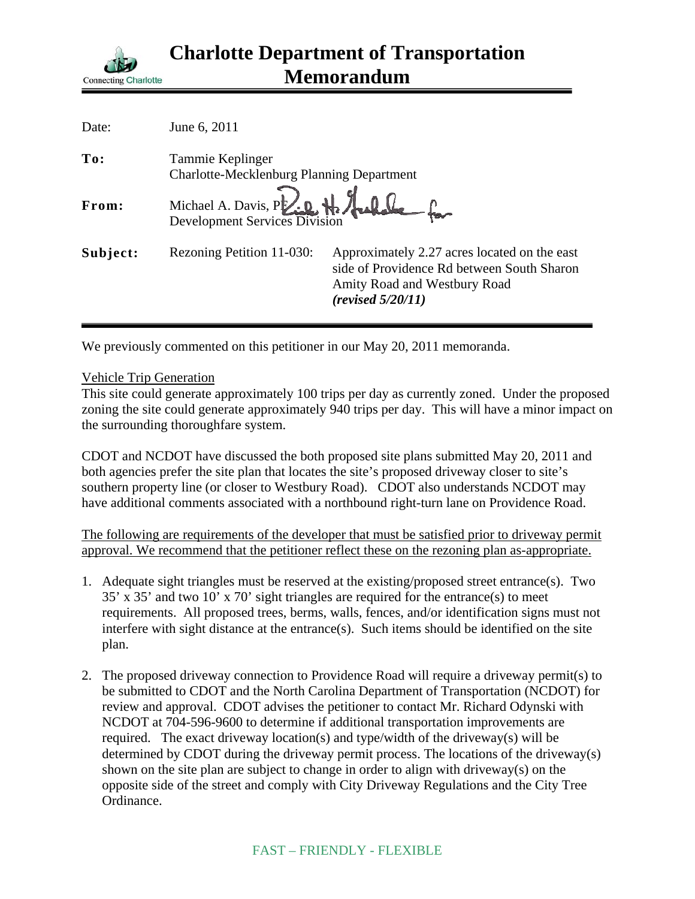

| Date:    | June 6, 2011                                                         |                                                                                                                                                 |
|----------|----------------------------------------------------------------------|-------------------------------------------------------------------------------------------------------------------------------------------------|
| To:      | Tammie Keplinger<br><b>Charlotte-Mecklenburg Planning Department</b> |                                                                                                                                                 |
| From:    | Michael A. Davis, P. 20 H. Hulle for                                 |                                                                                                                                                 |
| Subject: | Rezoning Petition 11-030:                                            | Approximately 2.27 acres located on the east<br>side of Providence Rd between South Sharon<br>Amity Road and Westbury Road<br>(revised 5/20/11) |

We previously commented on this petitioner in our May 20, 2011 memoranda.

## Vehicle Trip Generation

This site could generate approximately 100 trips per day as currently zoned. Under the proposed zoning the site could generate approximately 940 trips per day. This will have a minor impact on the surrounding thoroughfare system.

CDOT and NCDOT have discussed the both proposed site plans submitted May 20, 2011 and both agencies prefer the site plan that locates the site's proposed driveway closer to site's southern property line (or closer to Westbury Road). CDOT also understands NCDOT may have additional comments associated with a northbound right-turn lane on Providence Road.

The following are requirements of the developer that must be satisfied prior to driveway permit approval. We recommend that the petitioner reflect these on the rezoning plan as-appropriate.

- 1. Adequate sight triangles must be reserved at the existing/proposed street entrance(s). Two 35' x 35' and two 10' x 70' sight triangles are required for the entrance(s) to meet requirements. All proposed trees, berms, walls, fences, and/or identification signs must not interfere with sight distance at the entrance(s). Such items should be identified on the site plan.
- 2. The proposed driveway connection to Providence Road will require a driveway permit(s) to be submitted to CDOT and the North Carolina Department of Transportation (NCDOT) for review and approval. CDOT advises the petitioner to contact Mr. Richard Odynski with NCDOT at 704-596-9600 to determine if additional transportation improvements are required. The exact driveway location(s) and type/width of the driveway(s) will be determined by CDOT during the driveway permit process. The locations of the driveway(s) shown on the site plan are subject to change in order to align with driveway(s) on the opposite side of the street and comply with City Driveway Regulations and the City Tree Ordinance.